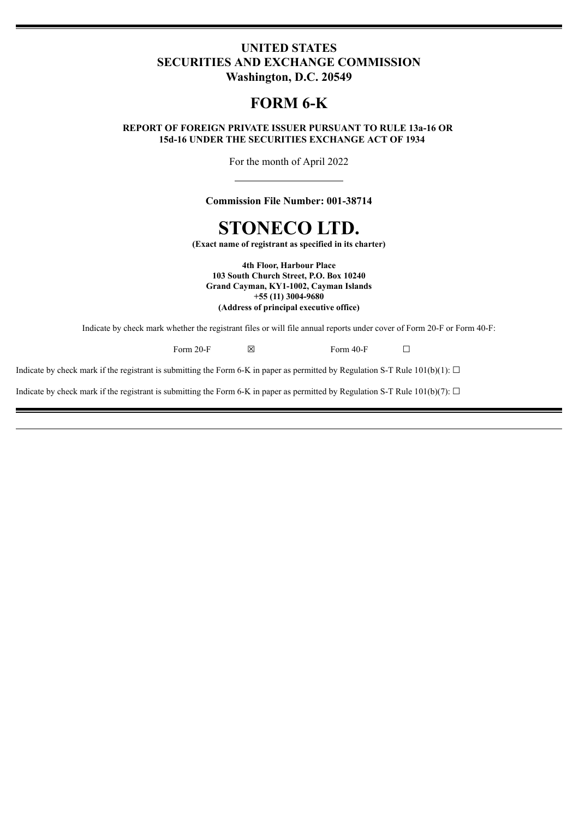# **UNITED STATES SECURITIES AND EXCHANGE COMMISSION Washington, D.C. 20549**

# **FORM 6-K**

# **REPORT OF FOREIGN PRIVATE ISSUER PURSUANT TO RULE 13a-16 OR 15d-16 UNDER THE SECURITIES EXCHANGE ACT OF 1934**

For the month of April 2022

**Commission File Number: 001-38714**

# **STONECO LTD.**

**(Exact name of registrant as specified in its charter)**

**4th Floor, Harbour Place 103 South Church Street, P.O. Box 10240 Grand Cayman, KY1-1002, Cayman Islands +55 (11) 3004-9680 (Address of principal executive office)**

Indicate by check mark whether the registrant files or will file annual reports under cover of Form 20-F or Form 40-F:

Form 20-F  $\boxtimes$  Form 40-F  $\Box$ 

Indicate by check mark if the registrant is submitting the Form 6-K in paper as permitted by Regulation S-T Rule 101(b)(1):  $\Box$ 

Indicate by check mark if the registrant is submitting the Form 6-K in paper as permitted by Regulation S-T Rule 101(b)(7):  $\Box$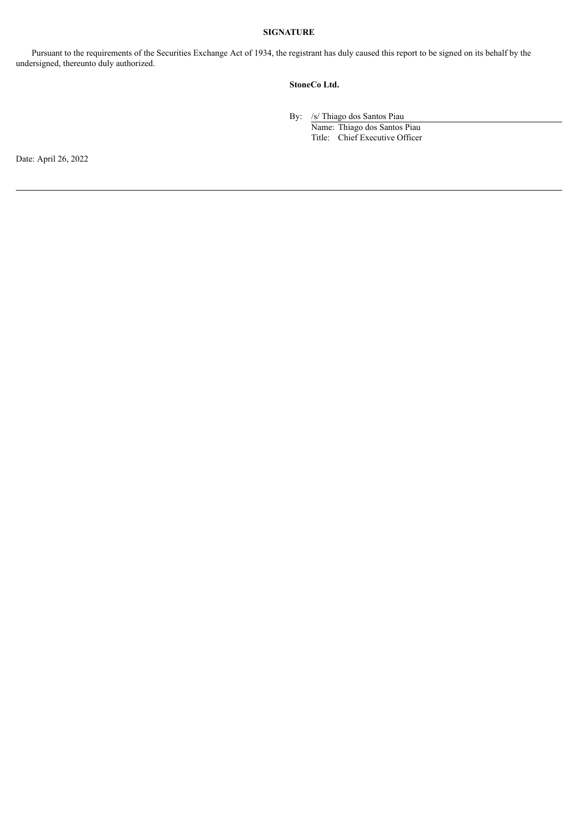### **SIGNATURE**

Pursuant to the requirements of the Securities Exchange Act of 1934, the registrant has duly caused this report to be signed on its behalf by the undersigned, thereunto duly authorized.

### **StoneCo Ltd.**

By: /s/ Thiago dos Santos Piau

Name: Thiago dos Santos Piau Title: Chief Executive Officer

Date: April 26, 2022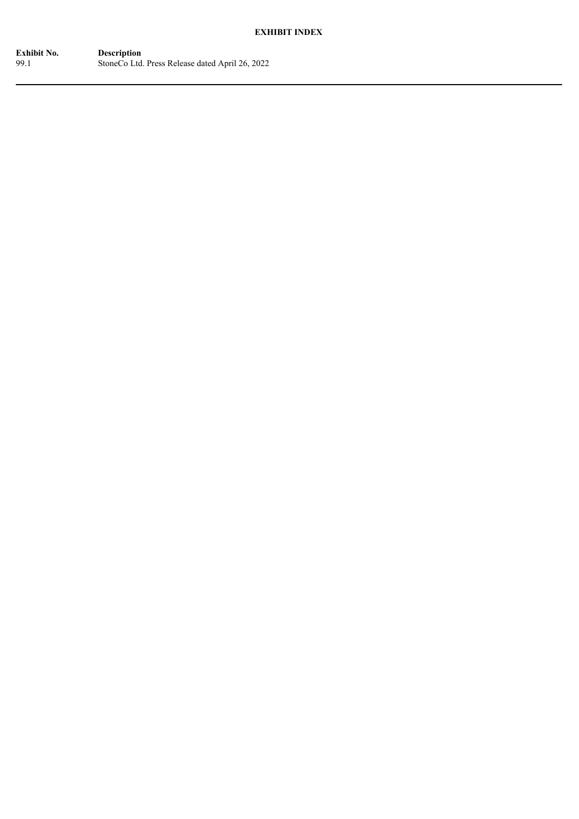# **EXHIBIT INDEX**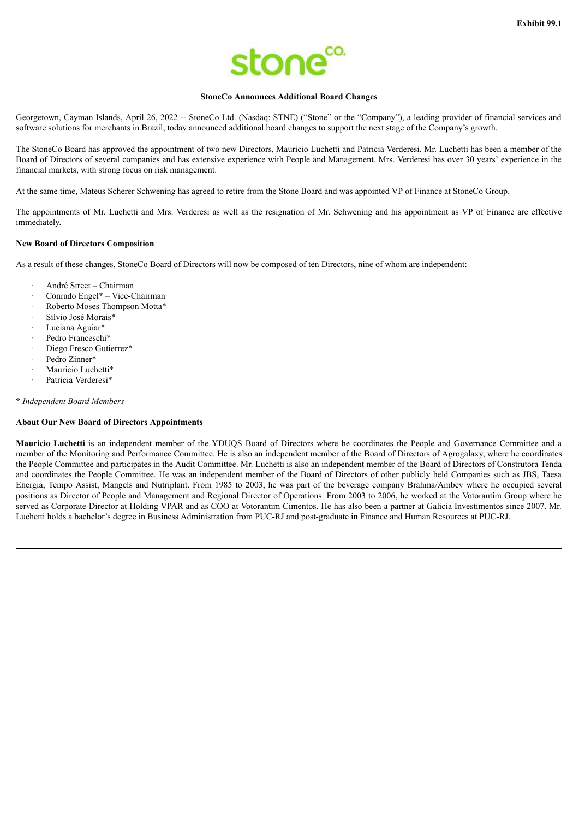

#### **StoneCo Announces Additional Board Changes**

Georgetown, Cayman Islands, April 26, 2022 -- StoneCo Ltd. (Nasdaq: STNE) ("Stone" or the "Company"), a leading provider of financial services and software solutions for merchants in Brazil, today announced additional board changes to support the next stage of the Company's growth.

The StoneCo Board has approved the appointment of two new Directors, Mauricio Luchetti and Patricia Verderesi. Mr. Luchetti has been a member of the Board of Directors of several companies and has extensive experience with People and Management. Mrs. Verderesi has over 30 years' experience in the financial markets, with strong focus on risk management.

At the same time, Mateus Scherer Schwening has agreed to retire from the Stone Board and was appointed VP of Finance at StoneCo Group.

The appointments of Mr. Luchetti and Mrs. Verderesi as well as the resignation of Mr. Schwening and his appointment as VP of Finance are effective immediately.

#### **New Board of Directors Composition**

As a result of these changes, StoneCo Board of Directors will now be composed of ten Directors, nine of whom are independent:

- · André Street Chairman
- · Conrado Engel\* Vice-Chairman
- · Roberto Moses Thompson Motta\*
- · Sílvio José Morais\*
- Luciana Aguiar\*
- Pedro Franceschi\*
- Diego Fresco Gutierrez\*
- Pedro Zinner\*
- Mauricio Luchetti\*
- Patricia Verderesi\*

#### **\*** *Independent Board Members*

#### **About Our New Board of Directors Appointments**

**Mauricio Luchetti** is an independent member of the YDUQS Board of Directors where he coordinates the People and Governance Committee and a member of the Monitoring and Performance Committee. He is also an independent member of the Board of Directors of Agrogalaxy, where he coordinates the People Committee and participates in the Audit Committee. Mr. Luchetti is also an independent member of the Board of Directors of Construtora Tenda and coordinates the People Committee. He was an independent member of the Board of Directors of other publicly held Companies such as JBS, Taesa Energia, Tempo Assist, Mangels and Nutriplant. From 1985 to 2003, he was part of the beverage company Brahma/Ambev where he occupied several positions as Director of People and Management and Regional Director of Operations. From 2003 to 2006, he worked at the Votorantim Group where he served as Corporate Director at Holding VPAR and as COO at Votorantim Cimentos. He has also been a partner at Galicia Investimentos since 2007. Mr. Luchetti holds a bachelor's degree in Business Administration from PUC-RJ and post-graduate in Finance and Human Resources at PUC-RJ.